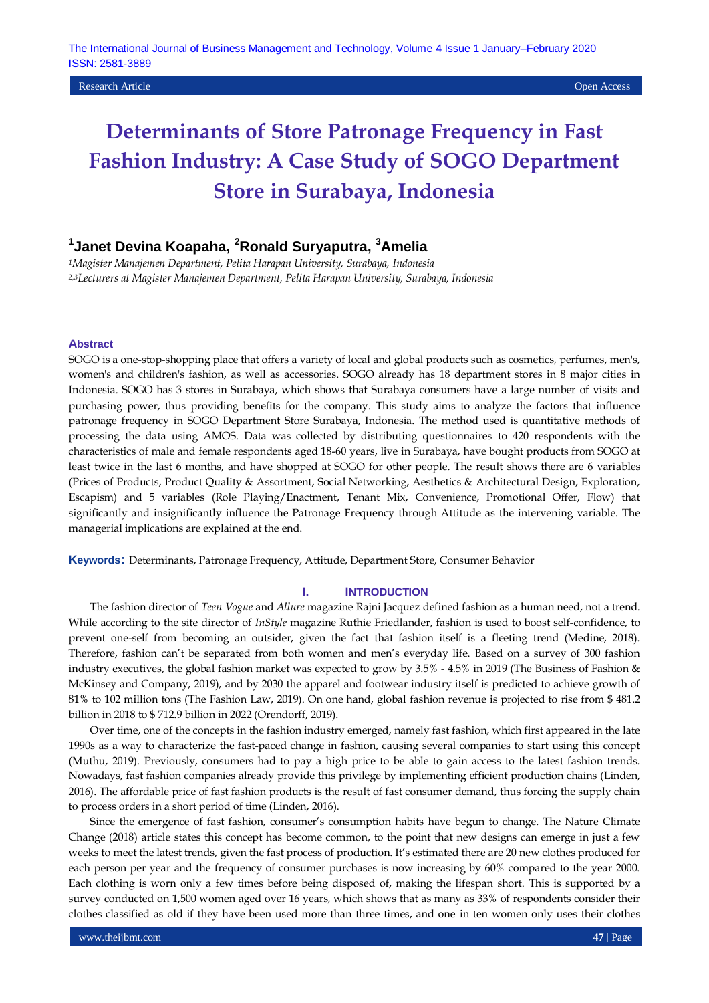### Research Article Open Access

# **Determinants of Store Patronage Frequency in Fast Fashion Industry: A Case Study of SOGO Department Store in Surabaya, Indonesia**

# **1 Janet Devina Koapaha, <sup>2</sup>Ronald Suryaputra, <sup>3</sup>Amelia**

*<sup>1</sup>Magister Manajemen Department, Pelita Harapan University, Surabaya, Indonesia 2,3Lecturers at Magister Manajemen Department, Pelita Harapan University, Surabaya, Indonesia*

### **Abstract**

SOGO is a one-stop-shopping place that offers a variety of local and global products such as cosmetics, perfumes, men's, women's and children's fashion, as well as accessories. SOGO already has 18 department stores in 8 major cities in Indonesia. SOGO has 3 stores in Surabaya, which shows that Surabaya consumers have a large number of visits and purchasing power, thus providing benefits for the company. This study aims to analyze the factors that influence patronage frequency in SOGO Department Store Surabaya, Indonesia. The method used is quantitative methods of processing the data using AMOS. Data was collected by distributing questionnaires to 420 respondents with the characteristics of male and female respondents aged 18-60 years, live in Surabaya, have bought products from SOGO at least twice in the last 6 months, and have shopped at SOGO for other people. The result shows there are 6 variables (Prices of Products, Product Quality & Assortment, Social Networking, Aesthetics & Architectural Design, Exploration, Escapism) and 5 variables (Role Playing/Enactment, Tenant Mix, Convenience, Promotional Offer, Flow) that significantly and insignificantly influence the Patronage Frequency through Attitude as the intervening variable. The managerial implications are explained at the end.

**Keywords:** Determinants, Patronage Frequency, Attitude, Department Store, Consumer Behavior

### **I. INTRODUCTION**

The fashion director of *Teen Vogue* and *Allure* magazine Rajni Jacquez defined fashion as a human need, not a trend. While according to the site director of *InStyle* magazine Ruthie Friedlander, fashion is used to boost self-confidence, to prevent one-self from becoming an outsider, given the fact that fashion itself is a fleeting trend (Medine, 2018). Therefore, fashion can't be separated from both women and men's everyday life. Based on a survey of 300 fashion industry executives, the global fashion market was expected to grow by 3.5% - 4.5% in 2019 (The Business of Fashion & McKinsey and Company, 2019), and by 2030 the apparel and footwear industry itself is predicted to achieve growth of 81% to 102 million tons (The Fashion Law, 2019). On one hand, global fashion revenue is projected to rise from \$ 481.2 billion in 2018 to \$ 712.9 billion in 2022 (Orendorff, 2019).

Over time, one of the concepts in the fashion industry emerged, namely fast fashion, which first appeared in the late 1990s as a way to characterize the fast-paced change in fashion, causing several companies to start using this concept (Muthu, 2019). Previously, consumers had to pay a high price to be able to gain access to the latest fashion trends. Nowadays, fast fashion companies already provide this privilege by implementing efficient production chains (Linden, 2016). The affordable price of fast fashion products is the result of fast consumer demand, thus forcing the supply chain to process orders in a short period of time (Linden, 2016).

Since the emergence of fast fashion, consumer's consumption habits have begun to change. The Nature Climate Change (2018) article states this concept has become common, to the point that new designs can emerge in just a few weeks to meet the latest trends, given the fast process of production. It's estimated there are 20 new clothes produced for each person per year and the frequency of consumer purchases is now increasing by 60% compared to the year 2000. Each clothing is worn only a few times before being disposed of, making the lifespan short. This is supported by a survey conducted on 1,500 women aged over 16 years, which shows that as many as 33% of respondents consider their clothes classified as old if they have been used more than three times, and one in ten women only uses their clothes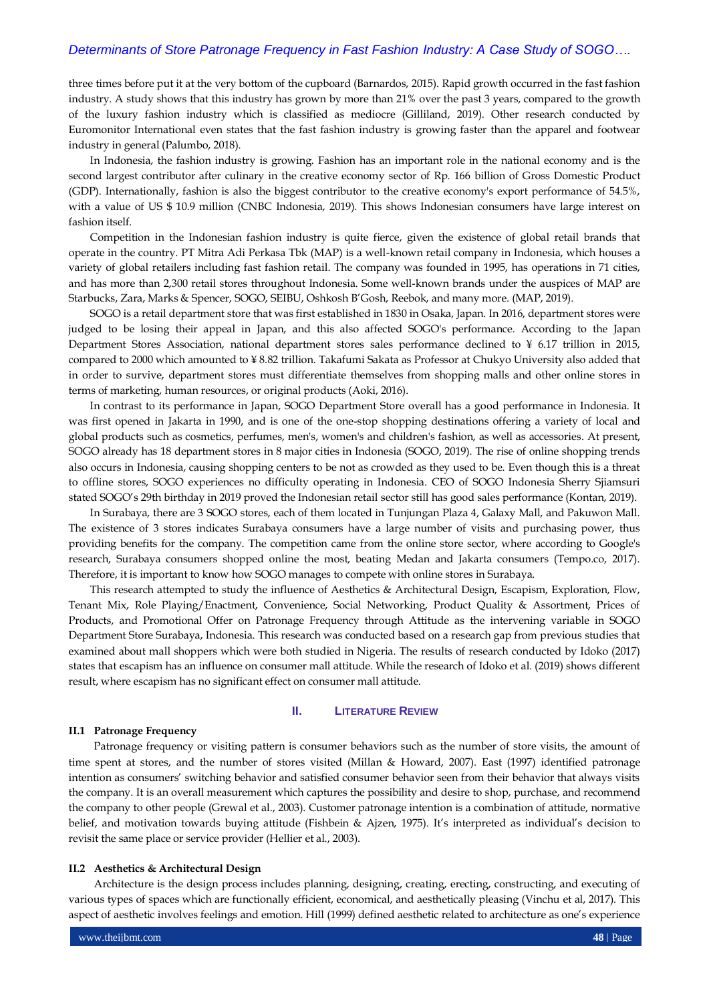three times before put it at the very bottom of the cupboard (Barnardos, 2015). Rapid growth occurred in the fast fashion industry. A study shows that this industry has grown by more than 21% over the past 3 years, compared to the growth of the luxury fashion industry which is classified as mediocre (Gilliland, 2019). Other research conducted by Euromonitor International even states that the fast fashion industry is growing faster than the apparel and footwear industry in general (Palumbo, 2018).

In Indonesia, the fashion industry is growing. Fashion has an important role in the national economy and is the second largest contributor after culinary in the creative economy sector of Rp. 166 billion of Gross Domestic Product (GDP). Internationally, fashion is also the biggest contributor to the creative economy's export performance of 54.5%, with a value of US \$ 10.9 million (CNBC Indonesia, 2019). This shows Indonesian consumers have large interest on fashion itself.

Competition in the Indonesian fashion industry is quite fierce, given the existence of global retail brands that operate in the country. PT Mitra Adi Perkasa Tbk (MAP) is a well-known retail company in Indonesia, which houses a variety of global retailers including fast fashion retail. The company was founded in 1995, has operations in 71 cities, and has more than 2,300 retail stores throughout Indonesia. Some well-known brands under the auspices of MAP are Starbucks, Zara, Marks & Spencer, SOGO, SEIBU, Oshkosh B'Gosh, Reebok, and many more. (MAP, 2019).

SOGO is a retail department store that was first established in 1830 in Osaka, Japan. In 2016, department stores were judged to be losing their appeal in Japan, and this also affected SOGO's performance. According to the Japan Department Stores Association, national department stores sales performance declined to ¥ 6.17 trillion in 2015, compared to 2000 which amounted to ¥ 8.82 trillion. Takafumi Sakata as Professor at Chukyo University also added that in order to survive, department stores must differentiate themselves from shopping malls and other online stores in terms of marketing, human resources, or original products (Aoki, 2016).

In contrast to its performance in Japan, SOGO Department Store overall has a good performance in Indonesia. It was first opened in Jakarta in 1990, and is one of the one-stop shopping destinations offering a variety of local and global products such as cosmetics, perfumes, men's, women's and children's fashion, as well as accessories. At present, SOGO already has 18 department stores in 8 major cities in Indonesia (SOGO, 2019). The rise of online shopping trends also occurs in Indonesia, causing shopping centers to be not as crowded as they used to be. Even though this is a threat to offline stores, SOGO experiences no difficulty operating in Indonesia. CEO of SOGO Indonesia Sherry Sjiamsuri stated SOGO's 29th birthday in 2019 proved the Indonesian retail sector still has good sales performance (Kontan, 2019).

In Surabaya, there are 3 SOGO stores, each of them located in Tunjungan Plaza 4, Galaxy Mall, and Pakuwon Mall. The existence of 3 stores indicates Surabaya consumers have a large number of visits and purchasing power, thus providing benefits for the company. The competition came from the online store sector, where according to Google's research, Surabaya consumers shopped online the most, beating Medan and Jakarta consumers (Tempo.co, 2017). Therefore, it is important to know how SOGO manages to compete with online stores in Surabaya.

This research attempted to study the influence of Aesthetics & Architectural Design, Escapism, Exploration, Flow, Tenant Mix, Role Playing/Enactment, Convenience, Social Networking, Product Quality & Assortment, Prices of Products, and Promotional Offer on Patronage Frequency through Attitude as the intervening variable in SOGO Department Store Surabaya, Indonesia. This research was conducted based on a research gap from previous studies that examined about mall shoppers which were both studied in Nigeria. The results of research conducted by Idoko (2017) states that escapism has an influence on consumer mall attitude. While the research of Idoko et al. (2019) shows different result, where escapism has no significant effect on consumer mall attitude.

### **II. LITERATURE REVIEW**

### **II.1 Patronage Frequency**

Patronage frequency or visiting pattern is consumer behaviors such as the number of store visits, the amount of time spent at stores, and the number of stores visited (Millan & Howard, 2007). East (1997) identified patronage intention as consumers' switching behavior and satisfied consumer behavior seen from their behavior that always visits the company. It is an overall measurement which captures the possibility and desire to shop, purchase, and recommend the company to other people (Grewal et al., 2003). Customer patronage intention is a combination of attitude, normative belief, and motivation towards buying attitude (Fishbein & Ajzen, 1975). It's interpreted as individual's decision to revisit the same place or service provider (Hellier et al., 2003).

### **II.2 Aesthetics & Architectural Design**

Architecture is the design process includes planning, designing, creating, erecting, constructing, and executing of various types of spaces which are functionally efficient, economical, and aesthetically pleasing (Vinchu et al, 2017). This aspect of aesthetic involves feelings and emotion. Hill (1999) defined aesthetic related to architecture as one's experience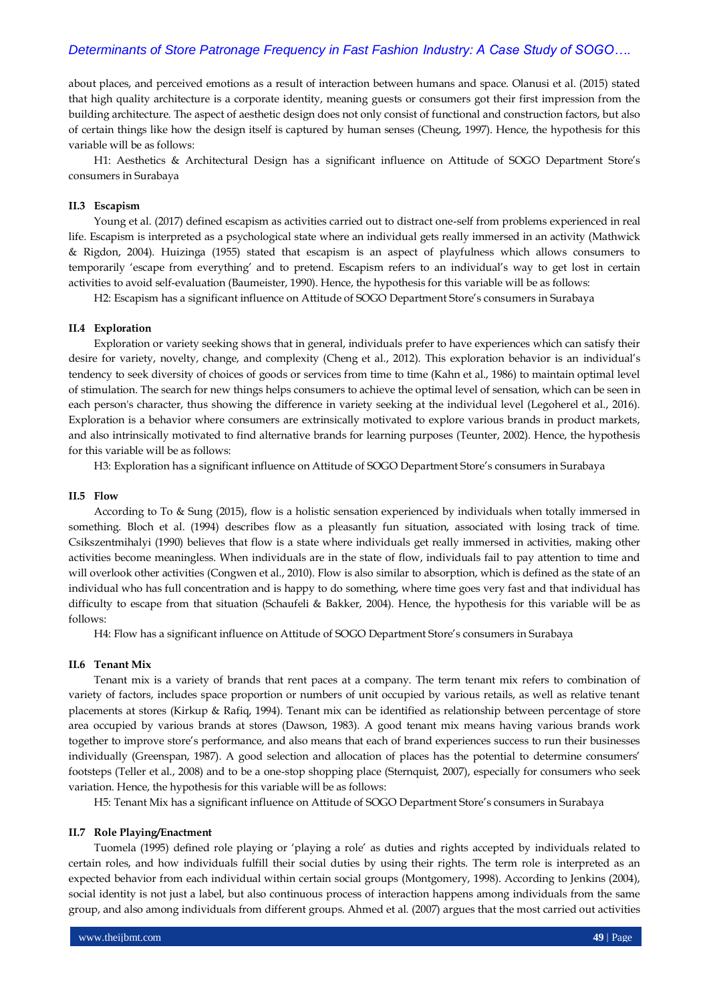about places, and perceived emotions as a result of interaction between humans and space. Olanusi et al. (2015) stated that high quality architecture is a corporate identity, meaning guests or consumers got their first impression from the building architecture. The aspect of aesthetic design does not only consist of functional and construction factors, but also of certain things like how the design itself is captured by human senses (Cheung, 1997). Hence, the hypothesis for this variable will be as follows:

H1: Aesthetics & Architectural Design has a significant influence on Attitude of SOGO Department Store's consumers in Surabaya

### **II.3 Escapism**

Young et al. (2017) defined escapism as activities carried out to distract one-self from problems experienced in real life. Escapism is interpreted as a psychological state where an individual gets really immersed in an activity (Mathwick & Rigdon, 2004). Huizinga (1955) stated that escapism is an aspect of playfulness which allows consumers to temporarily 'escape from everything' and to pretend. Escapism refers to an individual's way to get lost in certain activities to avoid self-evaluation (Baumeister, 1990). Hence, the hypothesis for this variable will be as follows:

H2: Escapism has a significant influence on Attitude of SOGO Department Store's consumers in Surabaya

### **II.4 Exploration**

Exploration or variety seeking shows that in general, individuals prefer to have experiences which can satisfy their desire for variety, novelty, change, and complexity (Cheng et al., 2012). This exploration behavior is an individual's tendency to seek diversity of choices of goods or services from time to time (Kahn et al., 1986) to maintain optimal level of stimulation. The search for new things helps consumers to achieve the optimal level of sensation, which can be seen in each person's character, thus showing the difference in variety seeking at the individual level (Legoherel et al., 2016). Exploration is a behavior where consumers are extrinsically motivated to explore various brands in product markets, and also intrinsically motivated to find alternative brands for learning purposes (Teunter, 2002). Hence, the hypothesis for this variable will be as follows:

H3: Exploration has a significant influence on Attitude of SOGO Department Store's consumers in Surabaya

### **II.5 Flow**

According to To & Sung (2015), flow is a holistic sensation experienced by individuals when totally immersed in something. Bloch et al. (1994) describes flow as a pleasantly fun situation, associated with losing track of time. Csikszentmihalyi (1990) believes that flow is a state where individuals get really immersed in activities, making other activities become meaningless. When individuals are in the state of flow, individuals fail to pay attention to time and will overlook other activities (Congwen et al., 2010). Flow is also similar to absorption, which is defined as the state of an individual who has full concentration and is happy to do something, where time goes very fast and that individual has difficulty to escape from that situation (Schaufeli & Bakker, 2004). Hence, the hypothesis for this variable will be as follows:

H4: Flow has a significant influence on Attitude of SOGO Department Store's consumers in Surabaya

#### **II.6 Tenant Mix**

Tenant mix is a variety of brands that rent paces at a company. The term tenant mix refers to combination of variety of factors, includes space proportion or numbers of unit occupied by various retails, as well as relative tenant placements at stores (Kirkup & Rafiq, 1994). Tenant mix can be identified as relationship between percentage of store area occupied by various brands at stores (Dawson, 1983). A good tenant mix means having various brands work together to improve store's performance, and also means that each of brand experiences success to run their businesses individually (Greenspan, 1987). A good selection and allocation of places has the potential to determine consumers' footsteps (Teller et al., 2008) and to be a one-stop shopping place (Sternquist, 2007), especially for consumers who seek variation. Hence, the hypothesis for this variable will be as follows:

H5: Tenant Mix has a significant influence on Attitude of SOGO Department Store's consumers in Surabaya

#### **II.7 Role Playing/Enactment**

Tuomela (1995) defined role playing or 'playing a role' as duties and rights accepted by individuals related to certain roles, and how individuals fulfill their social duties by using their rights. The term role is interpreted as an expected behavior from each individual within certain social groups (Montgomery, 1998). According to Jenkins (2004), social identity is not just a label, but also continuous process of interaction happens among individuals from the same group, and also among individuals from different groups. Ahmed et al. (2007) argues that the most carried out activities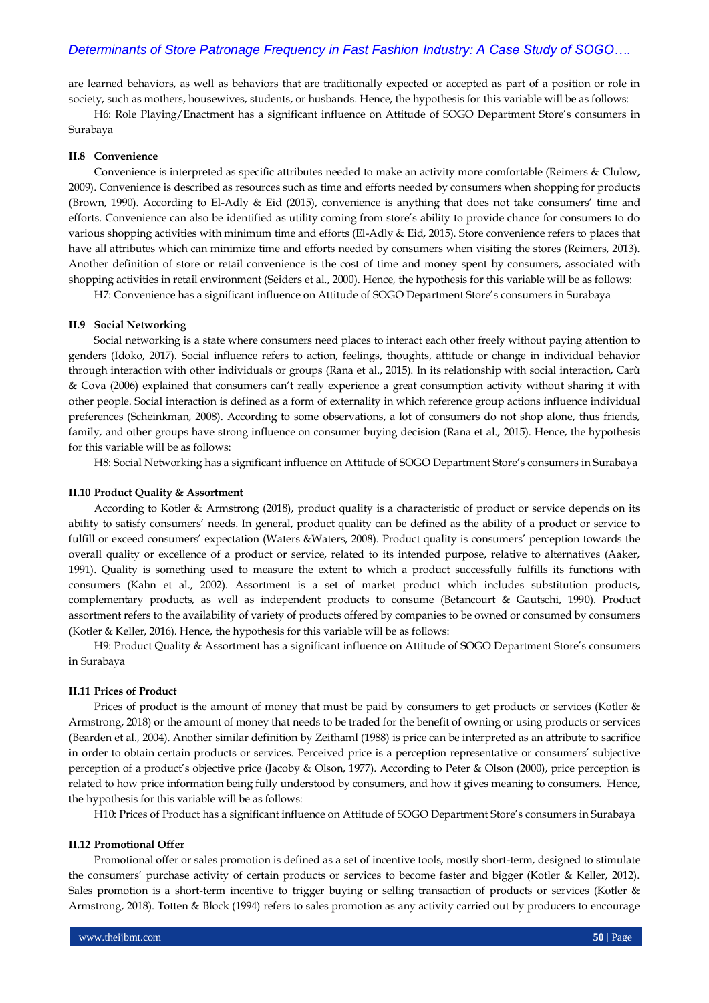are learned behaviors, as well as behaviors that are traditionally expected or accepted as part of a position or role in society, such as mothers, housewives, students, or husbands. Hence, the hypothesis for this variable will be as follows:

H6: Role Playing/Enactment has a significant influence on Attitude of SOGO Department Store's consumers in Surabaya

### **II.8 Convenience**

Convenience is interpreted as specific attributes needed to make an activity more comfortable (Reimers & Clulow, 2009). Convenience is described as resources such as time and efforts needed by consumers when shopping for products (Brown, 1990). According to El-Adly & Eid (2015), convenience is anything that does not take consumers' time and efforts. Convenience can also be identified as utility coming from store's ability to provide chance for consumers to do various shopping activities with minimum time and efforts (El-Adly & Eid, 2015). Store convenience refers to places that have all attributes which can minimize time and efforts needed by consumers when visiting the stores (Reimers, 2013). Another definition of store or retail convenience is the cost of time and money spent by consumers, associated with shopping activities in retail environment (Seiders et al., 2000). Hence, the hypothesis for this variable will be as follows:

H7: Convenience has a significant influence on Attitude of SOGO Department Store's consumers in Surabaya

#### **II.9 Social Networking**

Social networking is a state where consumers need places to interact each other freely without paying attention to genders (Idoko, 2017). Social influence refers to action, feelings, thoughts, attitude or change in individual behavior through interaction with other individuals or groups (Rana et al., 2015). In its relationship with social interaction, Carù & Cova (2006) explained that consumers can't really experience a great consumption activity without sharing it with other people. Social interaction is defined as a form of externality in which reference group actions influence individual preferences (Scheinkman, 2008). According to some observations, a lot of consumers do not shop alone, thus friends, family, and other groups have strong influence on consumer buying decision (Rana et al., 2015). Hence, the hypothesis for this variable will be as follows:

H8: Social Networking has a significant influence on Attitude of SOGO Department Store's consumers in Surabaya

#### **II.10 Product Quality & Assortment**

According to Kotler & Armstrong (2018), product quality is a characteristic of product or service depends on its ability to satisfy consumers' needs. In general, product quality can be defined as the ability of a product or service to fulfill or exceed consumers' expectation (Waters &Waters, 2008). Product quality is consumers' perception towards the overall quality or excellence of a product or service, related to its intended purpose, relative to alternatives (Aaker, 1991). Quality is something used to measure the extent to which a product successfully fulfills its functions with consumers (Kahn et al., 2002). Assortment is a set of market product which includes substitution products, complementary products, as well as independent products to consume (Betancourt & Gautschi, 1990). Product assortment refers to the availability of variety of products offered by companies to be owned or consumed by consumers (Kotler & Keller, 2016). Hence, the hypothesis for this variable will be as follows:

H9: Product Quality & Assortment has a significant influence on Attitude of SOGO Department Store's consumers in Surabaya

#### **II.11 Prices of Product**

Prices of product is the amount of money that must be paid by consumers to get products or services (Kotler & Armstrong, 2018) or the amount of money that needs to be traded for the benefit of owning or using products or services (Bearden et al., 2004). Another similar definition by Zeithaml (1988) is price can be interpreted as an attribute to sacrifice in order to obtain certain products or services. Perceived price is a perception representative or consumers' subjective perception of a product's objective price (Jacoby & Olson, 1977). According to Peter & Olson (2000), price perception is related to how price information being fully understood by consumers, and how it gives meaning to consumers. Hence, the hypothesis for this variable will be as follows:

H10: Prices of Product has a significant influence on Attitude of SOGO Department Store's consumers in Surabaya

### **II.12 Promotional Offer**

Promotional offer or sales promotion is defined as a set of incentive tools, mostly short-term, designed to stimulate the consumers' purchase activity of certain products or services to become faster and bigger (Kotler & Keller, 2012). Sales promotion is a short-term incentive to trigger buying or selling transaction of products or services (Kotler & Armstrong, 2018). Totten & Block (1994) refers to sales promotion as any activity carried out by producers to encourage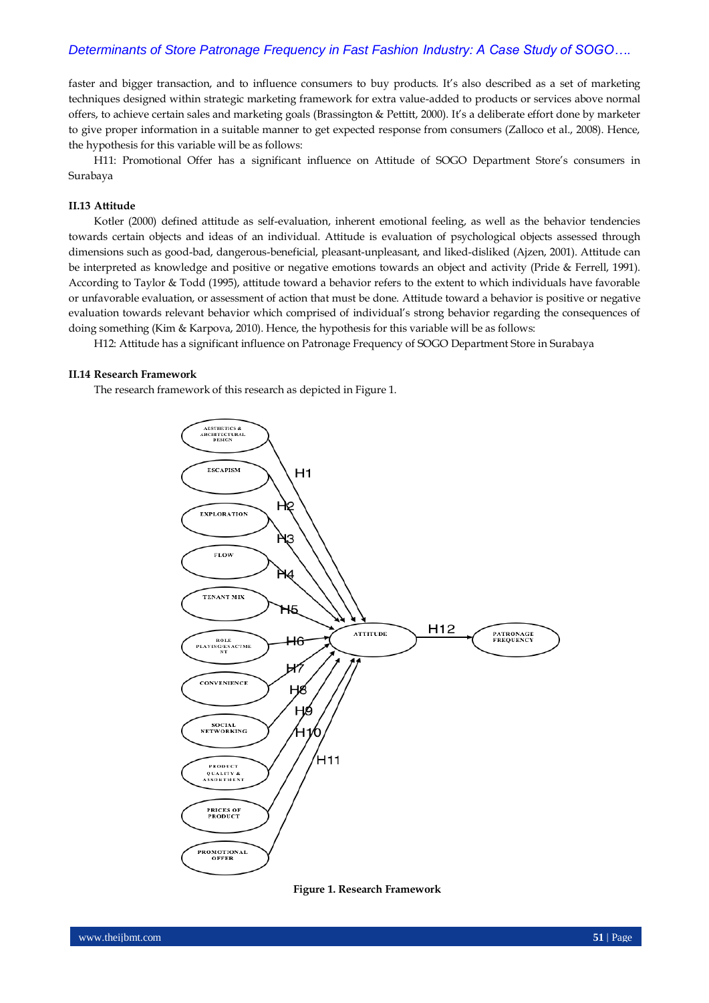faster and bigger transaction, and to influence consumers to buy products. It's also described as a set of marketing techniques designed within strategic marketing framework for extra value-added to products or services above normal offers, to achieve certain sales and marketing goals (Brassington & Pettitt, 2000). It's a deliberate effort done by marketer to give proper information in a suitable manner to get expected response from consumers (Zalloco et al., 2008). Hence, the hypothesis for this variable will be as follows:

H11: Promotional Offer has a significant influence on Attitude of SOGO Department Store's consumers in Surabaya

### **II.13 Attitude**

Kotler (2000) defined attitude as self-evaluation, inherent emotional feeling, as well as the behavior tendencies towards certain objects and ideas of an individual. Attitude is evaluation of psychological objects assessed through dimensions such as good-bad, dangerous-beneficial, pleasant-unpleasant, and liked-disliked (Ajzen, 2001). Attitude can be interpreted as knowledge and positive or negative emotions towards an object and activity (Pride & Ferrell, 1991). According to Taylor & Todd (1995), attitude toward a behavior refers to the extent to which individuals have favorable or unfavorable evaluation, or assessment of action that must be done. Attitude toward a behavior is positive or negative evaluation towards relevant behavior which comprised of individual's strong behavior regarding the consequences of doing something (Kim & Karpova, 2010). Hence, the hypothesis for this variable will be as follows:

H12: Attitude has a significant influence on Patronage Frequency of SOGO Department Store in Surabaya

#### **II.14 Research Framework**

The research framework of this research as depicted in Figure 1.



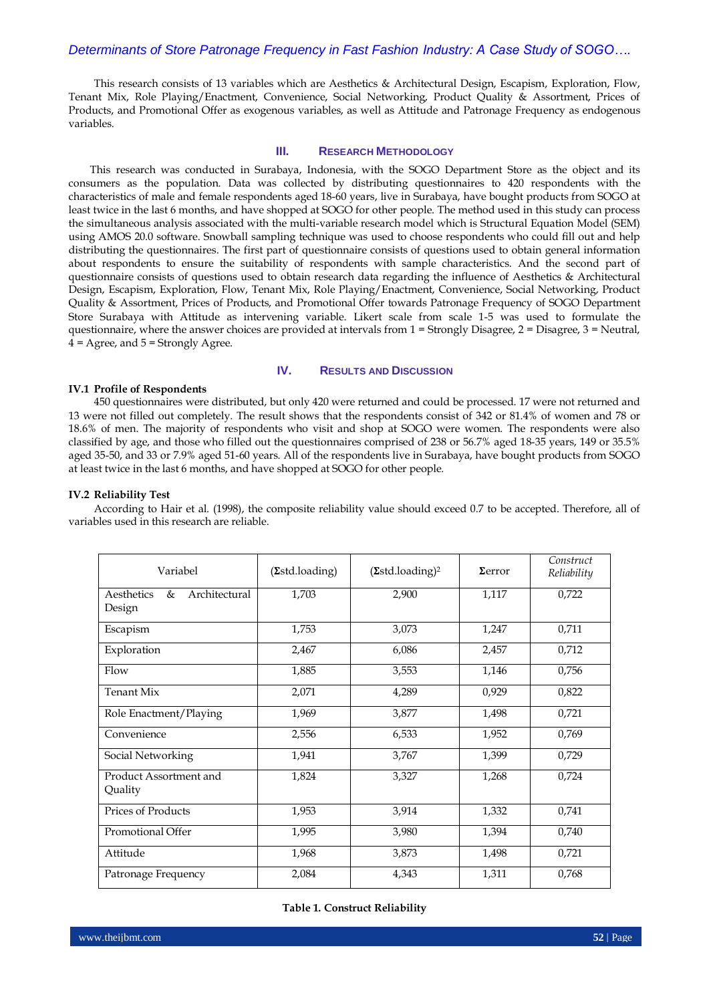This research consists of 13 variables which are Aesthetics & Architectural Design, Escapism, Exploration, Flow, Tenant Mix, Role Playing/Enactment, Convenience, Social Networking, Product Quality & Assortment, Prices of Products, and Promotional Offer as exogenous variables, as well as Attitude and Patronage Frequency as endogenous variables.

### **III. RESEARCH METHODOLOGY**

This research was conducted in Surabaya, Indonesia, with the SOGO Department Store as the object and its consumers as the population. Data was collected by distributing questionnaires to 420 respondents with the characteristics of male and female respondents aged 18-60 years, live in Surabaya, have bought products from SOGO at least twice in the last 6 months, and have shopped at SOGO for other people. The method used in this study can process the simultaneous analysis associated with the multi-variable research model which is Structural Equation Model (SEM) using AMOS 20.0 software. Snowball sampling technique was used to choose respondents who could fill out and help distributing the questionnaires. The first part of questionnaire consists of questions used to obtain general information about respondents to ensure the suitability of respondents with sample characteristics. And the second part of questionnaire consists of questions used to obtain research data regarding the influence of Aesthetics & Architectural Design, Escapism, Exploration, Flow, Tenant Mix, Role Playing/Enactment, Convenience, Social Networking, Product Quality & Assortment, Prices of Products, and Promotional Offer towards Patronage Frequency of SOGO Department Store Surabaya with Attitude as intervening variable. Likert scale from scale 1-5 was used to formulate the questionnaire, where the answer choices are provided at intervals from 1 = Strongly Disagree, 2 = Disagree, 3 = Neutral,  $4 = \text{Agree}$ , and  $5 = \text{Strongly Age}$ .

### **IV. RESULTS AND DISCUSSION**

#### **IV.1 Profile of Respondents**

450 questionnaires were distributed, but only 420 were returned and could be processed. 17 were not returned and 13 were not filled out completely. The result shows that the respondents consist of 342 or 81.4% of women and 78 or 18.6% of men. The majority of respondents who visit and shop at SOGO were women. The respondents were also classified by age, and those who filled out the questionnaires comprised of 238 or 56.7% aged 18-35 years, 149 or 35.5% aged 35-50, and 33 or 7.9% aged 51-60 years. All of the respondents live in Surabaya, have bought products from SOGO at least twice in the last 6 months, and have shopped at SOGO for other people.

### **IV.2 Reliability Test**

| Variabel                                   | (2std.loading) | $(\Sigma \text{std.loading})^2$ |       | Construct<br>Reliability |  |
|--------------------------------------------|----------------|---------------------------------|-------|--------------------------|--|
| Aesthetics<br>&<br>Architectural<br>Design | 1,703          | 2,900                           | 1,117 | 0,722                    |  |
| Escapism                                   | 1,753          | 3,073                           | 1,247 | 0,711                    |  |
| Exploration                                | 2,467          | 6,086                           | 2,457 | 0,712                    |  |
| Flow                                       | 1,885          | 3,553                           | 1,146 | 0,756                    |  |
| <b>Tenant Mix</b>                          | 2,071          | 4,289<br>0,929                  |       | 0,822                    |  |
| Role Enactment/Playing                     | 1,969          | 3,877                           | 1,498 | 0,721                    |  |
| Convenience                                | 2,556          | 6,533                           | 1,952 | 0,769                    |  |
| Social Networking                          | 1,941          | 3,767<br>1,399                  |       | 0,729                    |  |
| Product Assortment and<br>Quality          | 1,824          | 3,327                           | 1,268 | 0,724                    |  |
| <b>Prices of Products</b>                  | 1,953          | 3,914                           | 1,332 | 0,741                    |  |
| Promotional Offer                          | 1,995          | 3,980                           | 1,394 |                          |  |
| Attitude                                   | 1,968          | 3,873                           | 1,498 | 0,721                    |  |
| Patronage Frequency                        | 2,084          | 4,343                           | 1,311 | 0,768                    |  |

According to Hair et al. (1998), the composite reliability value should exceed 0.7 to be accepted. Therefore, all of variables used in this research are reliable.

#### **Table 1. Construct Reliability**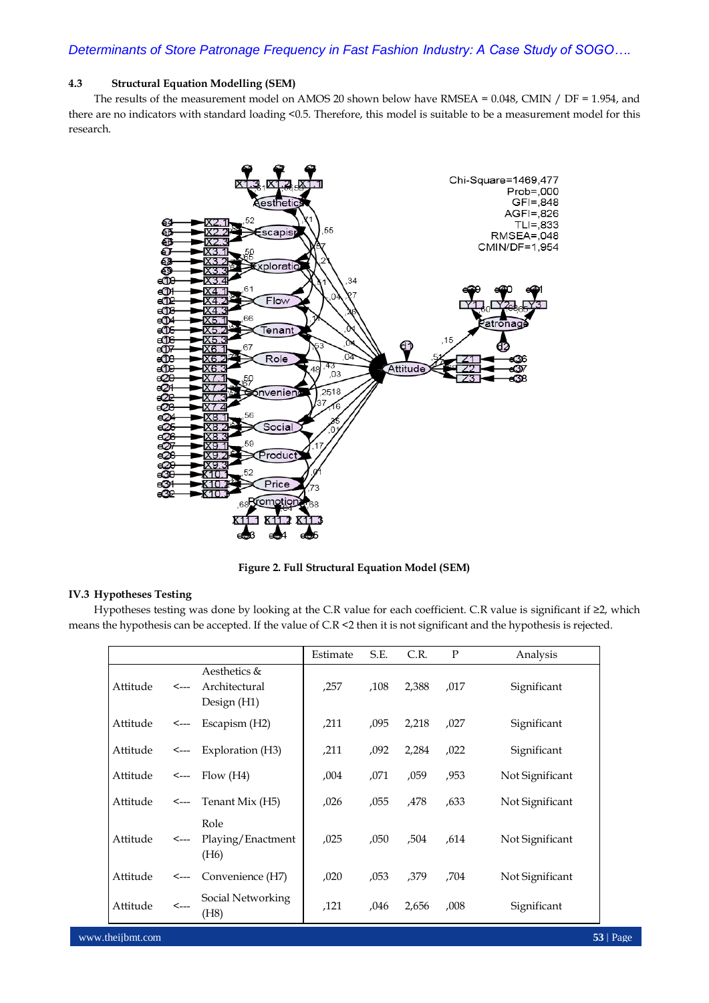### **4.3 Structural Equation Modelling (SEM)**

The results of the measurement model on AMOS 20 shown below have RMSEA = 0.048, CMIN / DF = 1.954, and there are no indicators with standard loading <0.5. Therefore, this model is suitable to be a measurement model for this research.



**Figure 2. Full Structural Equation Model (SEM)**

### **IV.3 Hypotheses Testing**

Hypotheses testing was done by looking at the C.R value for each coefficient. C.R value is significant if ≥2, which means the hypothesis can be accepted. If the value of C.R <2 then it is not significant and the hypothesis is rejected.

|          |              |                                                | Estimate | S.E. | C.R.  | P    | Analysis        |
|----------|--------------|------------------------------------------------|----------|------|-------|------|-----------------|
| Attitude | $\leftarrow$ | Aesthetics &<br>Architectural<br>Design (H1)   | ,257     | ,108 | 2,388 | ,017 | Significant     |
| Attitude | <---         | Escapism (H2)                                  | ,211     | ,095 | 2,218 | ,027 | Significant     |
| Attitude | <----        | Exploration (H3)                               | ,211     | ,092 | 2,284 | ,022 | Significant     |
| Attitude |              | $\leftarrow$ Flow (H4)                         | ,004     | ,071 | ,059  | ,953 | Not Significant |
| Attitude |              | $\leftarrow$ Tenant Mix (H5)                   | ,026     | ,055 | ,478  | .633 | Not Significant |
| Attitude | <---         | Role<br>Playing/Enactment<br>(H <sub>6</sub> ) | ,025     | ,050 | ,504  | .614 | Not Significant |
| Attitude | <---         | Convenience (H7)                               | ,020     | .053 | .379  | ,704 | Not Significant |
| Attitude | $\leftarrow$ | Social Networking<br>(H8)                      | ,121     | ,046 | 2,656 | ,008 | Significant     |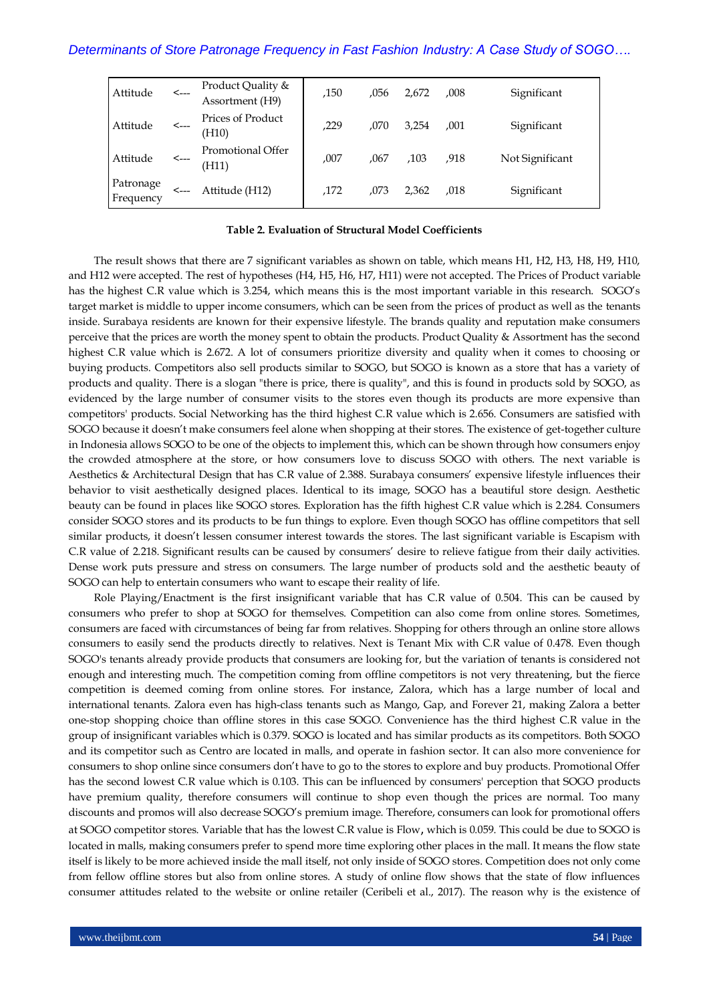| Attitude               | $\leftarrow$ | Product Quality &<br>Assortment (H9) | ,150 | .056 | 2.672 | ,008 | Significant     |
|------------------------|--------------|--------------------------------------|------|------|-------|------|-----------------|
| Attitude               | $\leftarrow$ | Prices of Product<br>(H10)           | ,229 | .070 | 3.254 | .001 | Significant     |
| Attitude               | <---         | Promotional Offer<br>(H11)           | .007 | ,067 | .103  | .918 | Not Significant |
| Patronage<br>Frequency | <---         | Attitude (H12)                       | .172 | .073 | 2.362 | ,018 | Significant     |

### **Table 2. Evaluation of Structural Model Coefficients**

The result shows that there are 7 significant variables as shown on table, which means H1, H2, H3, H8, H9, H10, and H12 were accepted. The rest of hypotheses (H4, H5, H6, H7, H11) were not accepted. The Prices of Product variable has the highest C.R value which is 3.254, which means this is the most important variable in this research. SOGO's target market is middle to upper income consumers, which can be seen from the prices of product as well as the tenants inside. Surabaya residents are known for their expensive lifestyle. The brands quality and reputation make consumers perceive that the prices are worth the money spent to obtain the products. Product Quality & Assortment has the second highest C.R value which is 2.672. A lot of consumers prioritize diversity and quality when it comes to choosing or buying products. Competitors also sell products similar to SOGO, but SOGO is known as a store that has a variety of products and quality. There is a slogan "there is price, there is quality", and this is found in products sold by SOGO, as evidenced by the large number of consumer visits to the stores even though its products are more expensive than competitors' products. Social Networking has the third highest C.R value which is 2.656. Consumers are satisfied with SOGO because it doesn't make consumers feel alone when shopping at their stores. The existence of get-together culture in Indonesia allows SOGO to be one of the objects to implement this, which can be shown through how consumers enjoy the crowded atmosphere at the store, or how consumers love to discuss SOGO with others. The next variable is Aesthetics & Architectural Design that has C.R value of 2.388*.* Surabaya consumers' expensive lifestyle influences their behavior to visit aesthetically designed places. Identical to its image, SOGO has a beautiful store design. Aesthetic beauty can be found in places like SOGO stores. Exploration has the fifth highest C.R value which is 2.284. Consumers consider SOGO stores and its products to be fun things to explore. Even though SOGO has offline competitors that sell similar products, it doesn't lessen consumer interest towards the stores. The last significant variable is Escapism with C.R value of 2.218. Significant results can be caused by consumers' desire to relieve fatigue from their daily activities. Dense work puts pressure and stress on consumers. The large number of products sold and the aesthetic beauty of SOGO can help to entertain consumers who want to escape their reality of life.

Role Playing/Enactment is the first insignificant variable that has C.R value of 0.504. This can be caused by consumers who prefer to shop at SOGO for themselves. Competition can also come from online stores. Sometimes, consumers are faced with circumstances of being far from relatives. Shopping for others through an online store allows consumers to easily send the products directly to relatives. Next is Tenant Mix with C.R value of 0.478. Even though SOGO's tenants already provide products that consumers are looking for, but the variation of tenants is considered not enough and interesting much. The competition coming from offline competitors is not very threatening, but the fierce competition is deemed coming from online stores. For instance, Zalora, which has a large number of local and international tenants. Zalora even has high-class tenants such as Mango, Gap, and Forever 21, making Zalora a better one-stop shopping choice than offline stores in this case SOGO. Convenience has the third highest C.R value in the group of insignificant variables which is 0.379. SOGO is located and has similar products as its competitors. Both SOGO and its competitor such as Centro are located in malls, and operate in fashion sector. It can also more convenience for consumers to shop online since consumers don't have to go to the stores to explore and buy products. Promotional Offer has the second lowest C.R value which is 0.103. This can be influenced by consumers' perception that SOGO products have premium quality, therefore consumers will continue to shop even though the prices are normal. Too many discounts and promos will also decrease SOGO's premium image. Therefore, consumers can look for promotional offers at SOGO competitor stores. Variable that has the lowest C.R value is Flow, which is 0.059. This could be due to SOGO is located in malls, making consumers prefer to spend more time exploring other places in the mall. It means the flow state itself is likely to be more achieved inside the mall itself, not only inside of SOGO stores. Competition does not only come from fellow offline stores but also from online stores. A study of online flow shows that the state of flow influences consumer attitudes related to the website or online retailer (Ceribeli et al., 2017). The reason why is the existence of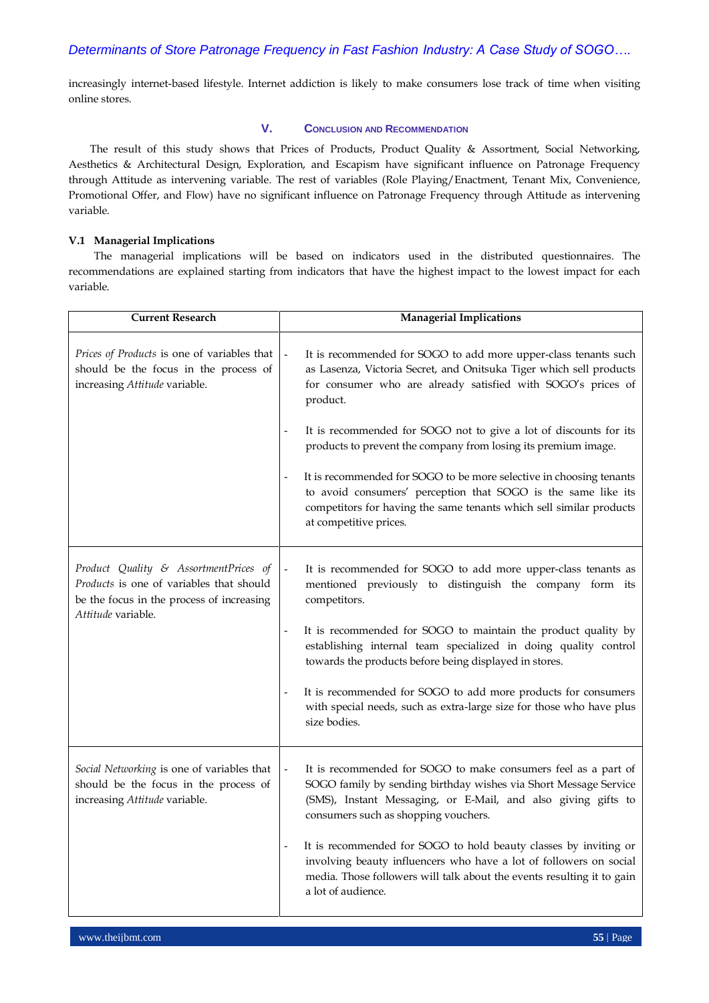increasingly internet-based lifestyle. Internet addiction is likely to make consumers lose track of time when visiting online stores.

### **V. CONCLUSION AND RECOMMENDATION**

The result of this study shows that Prices of Products, Product Quality & Assortment, Social Networking, Aesthetics & Architectural Design, Exploration, and Escapism have significant influence on Patronage Frequency through Attitude as intervening variable. The rest of variables (Role Playing/Enactment, Tenant Mix, Convenience, Promotional Offer, and Flow) have no significant influence on Patronage Frequency through Attitude as intervening variable.

### **V.1 Managerial Implications**

The managerial implications will be based on indicators used in the distributed questionnaires. The recommendations are explained starting from indicators that have the highest impact to the lowest impact for each variable.

| <b>Current Research</b>                                                                                                                              | <b>Managerial Implications</b>                                                                                                                                                                                                              |  |  |
|------------------------------------------------------------------------------------------------------------------------------------------------------|---------------------------------------------------------------------------------------------------------------------------------------------------------------------------------------------------------------------------------------------|--|--|
| Prices of Products is one of variables that<br>should be the focus in the process of<br>increasing Attitude variable.                                | It is recommended for SOGO to add more upper-class tenants such<br>as Lasenza, Victoria Secret, and Onitsuka Tiger which sell products<br>for consumer who are already satisfied with SOGO's prices of<br>product.                          |  |  |
|                                                                                                                                                      | It is recommended for SOGO not to give a lot of discounts for its<br>products to prevent the company from losing its premium image.                                                                                                         |  |  |
|                                                                                                                                                      | It is recommended for SOGO to be more selective in choosing tenants<br>to avoid consumers' perception that SOGO is the same like its<br>competitors for having the same tenants which sell similar products<br>at competitive prices.       |  |  |
| Product Quality & AssortmentPrices of<br>Products is one of variables that should<br>be the focus in the process of increasing<br>Attitude variable. | It is recommended for SOGO to add more upper-class tenants as<br>mentioned previously to distinguish the company form its<br>competitors.                                                                                                   |  |  |
|                                                                                                                                                      | It is recommended for SOGO to maintain the product quality by<br>establishing internal team specialized in doing quality control<br>towards the products before being displayed in stores.                                                  |  |  |
|                                                                                                                                                      | It is recommended for SOGO to add more products for consumers<br>with special needs, such as extra-large size for those who have plus<br>size bodies.                                                                                       |  |  |
| Social Networking is one of variables that<br>should be the focus in the process of<br>increasing Attitude variable.                                 | It is recommended for SOGO to make consumers feel as a part of<br>SOGO family by sending birthday wishes via Short Message Service<br>(SMS), Instant Messaging, or E-Mail, and also giving gifts to<br>consumers such as shopping vouchers. |  |  |
|                                                                                                                                                      | It is recommended for SOGO to hold beauty classes by inviting or<br>involving beauty influencers who have a lot of followers on social<br>media. Those followers will talk about the events resulting it to gain<br>a lot of audience.      |  |  |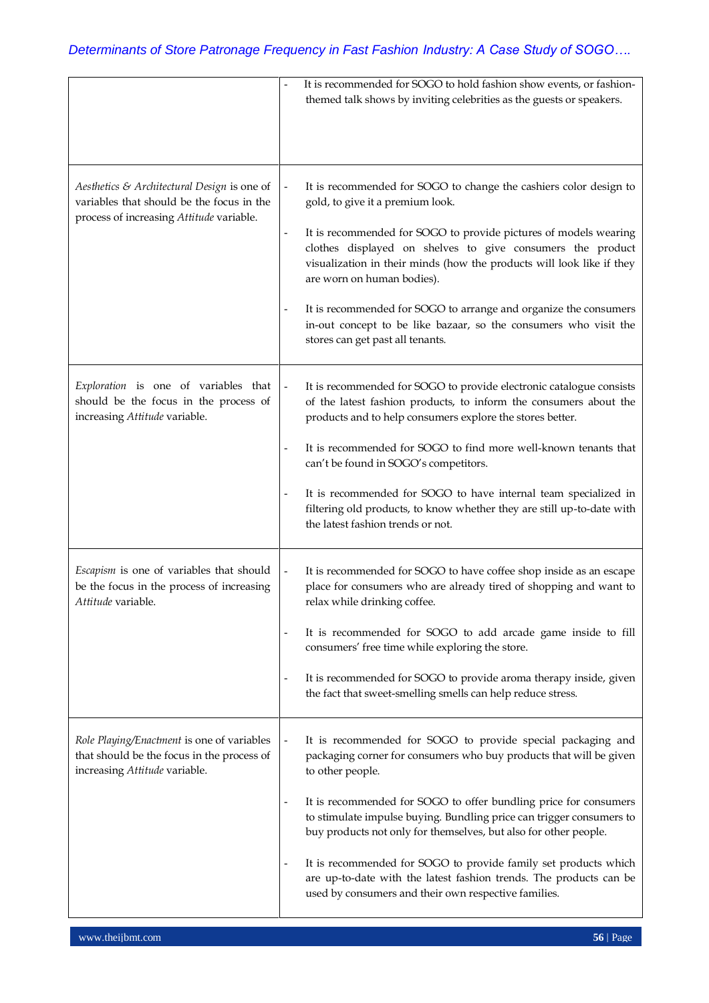|                                                                                                                                      |                   | It is recommended for SOGO to hold fashion show events, or fashion-<br>themed talk shows by inviting celebrities as the guests or speakers.                                                                                                                                                                                                                                                                                                                                                                                                                            |
|--------------------------------------------------------------------------------------------------------------------------------------|-------------------|------------------------------------------------------------------------------------------------------------------------------------------------------------------------------------------------------------------------------------------------------------------------------------------------------------------------------------------------------------------------------------------------------------------------------------------------------------------------------------------------------------------------------------------------------------------------|
| Aesthetics & Architectural Design is one of<br>variables that should be the focus in the<br>process of increasing Attitude variable. | $\qquad \qquad -$ | It is recommended for SOGO to change the cashiers color design to<br>gold, to give it a premium look.<br>It is recommended for SOGO to provide pictures of models wearing<br>clothes displayed on shelves to give consumers the product<br>visualization in their minds (how the products will look like if they<br>are worn on human bodies).<br>It is recommended for SOGO to arrange and organize the consumers<br>in-out concept to be like bazaar, so the consumers who visit the<br>stores can get past all tenants.                                             |
| Exploration is one of variables that<br>should be the focus in the process of<br>increasing Attitude variable.                       | $\qquad \qquad -$ | It is recommended for SOGO to provide electronic catalogue consists<br>of the latest fashion products, to inform the consumers about the<br>products and to help consumers explore the stores better.<br>It is recommended for SOGO to find more well-known tenants that<br>can't be found in SOGO's competitors.<br>It is recommended for SOGO to have internal team specialized in<br>filtering old products, to know whether they are still up-to-date with<br>the latest fashion trends or not.                                                                    |
| Escapism is one of variables that should<br>be the focus in the process of increasing<br>Attitude variable.                          | $\qquad \qquad -$ | It is recommended for SOGO to have coffee shop inside as an escape<br>place for consumers who are already tired of shopping and want to<br>relax while drinking coffee.<br>It is recommended for SOGO to add arcade game inside to fill<br>consumers' free time while exploring the store.<br>It is recommended for SOGO to provide aroma therapy inside, given<br>the fact that sweet-smelling smells can help reduce stress.                                                                                                                                         |
| Role Playing/Enactment is one of variables<br>that should be the focus in the process of<br>increasing Attitude variable.            | $\qquad \qquad -$ | It is recommended for SOGO to provide special packaging and<br>packaging corner for consumers who buy products that will be given<br>to other people.<br>It is recommended for SOGO to offer bundling price for consumers<br>to stimulate impulse buying. Bundling price can trigger consumers to<br>buy products not only for themselves, but also for other people.<br>It is recommended for SOGO to provide family set products which<br>are up-to-date with the latest fashion trends. The products can be<br>used by consumers and their own respective families. |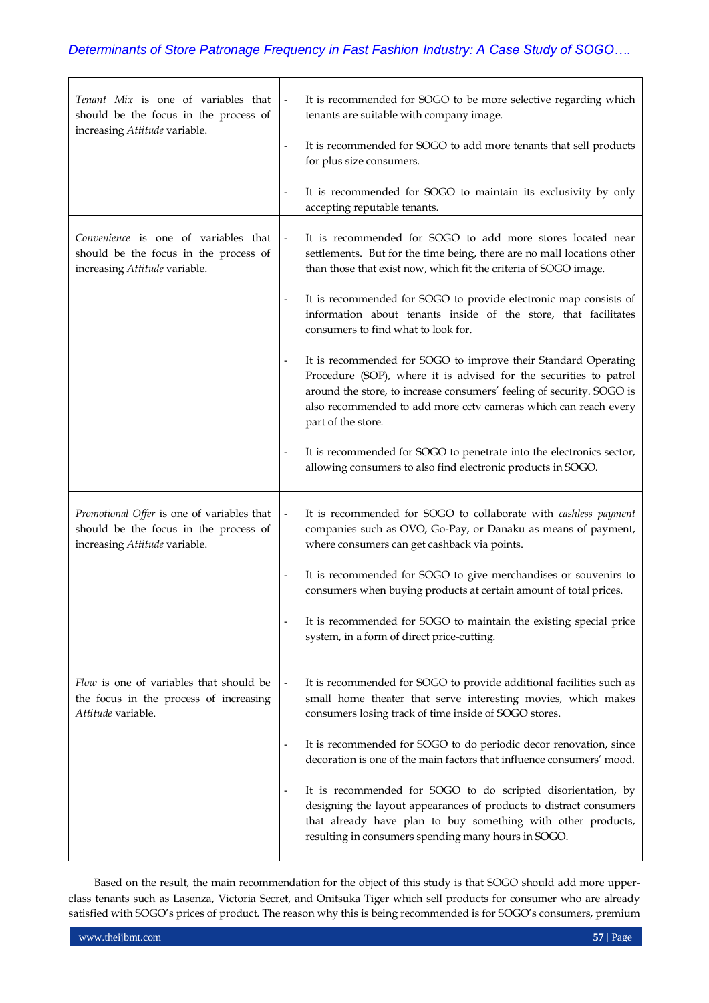| Tenant Mix is one of variables that<br>should be the focus in the process of<br>increasing Attitude variable.        |                          | It is recommended for SOGO to be more selective regarding which<br>tenants are suitable with company image.                                                                                                                                                                                           |
|----------------------------------------------------------------------------------------------------------------------|--------------------------|-------------------------------------------------------------------------------------------------------------------------------------------------------------------------------------------------------------------------------------------------------------------------------------------------------|
|                                                                                                                      |                          | It is recommended for SOGO to add more tenants that sell products<br>for plus size consumers.                                                                                                                                                                                                         |
|                                                                                                                      |                          | It is recommended for SOGO to maintain its exclusivity by only<br>accepting reputable tenants.                                                                                                                                                                                                        |
| Convenience is one of variables that<br>should be the focus in the process of<br>increasing Attitude variable.       |                          | It is recommended for SOGO to add more stores located near<br>settlements. But for the time being, there are no mall locations other<br>than those that exist now, which fit the criteria of SOGO image.                                                                                              |
|                                                                                                                      |                          | It is recommended for SOGO to provide electronic map consists of<br>information about tenants inside of the store, that facilitates<br>consumers to find what to look for.                                                                                                                            |
|                                                                                                                      |                          | It is recommended for SOGO to improve their Standard Operating<br>Procedure (SOP), where it is advised for the securities to patrol<br>around the store, to increase consumers' feeling of security. SOGO is<br>also recommended to add more cctv cameras which can reach every<br>part of the store. |
|                                                                                                                      |                          | It is recommended for SOGO to penetrate into the electronics sector,<br>allowing consumers to also find electronic products in SOGO.                                                                                                                                                                  |
| Promotional Offer is one of variables that<br>should be the focus in the process of<br>increasing Attitude variable. | $\overline{\phantom{a}}$ | It is recommended for SOGO to collaborate with <i>cashless payment</i><br>companies such as OVO, Go-Pay, or Danaku as means of payment,<br>where consumers can get cashback via points.                                                                                                               |
|                                                                                                                      |                          | It is recommended for SOGO to give merchandises or souvenirs to<br>consumers when buying products at certain amount of total prices.                                                                                                                                                                  |
|                                                                                                                      |                          | It is recommended for SOGO to maintain the existing special price<br>system, in a form of direct price-cutting.                                                                                                                                                                                       |
| Flow is one of variables that should be<br>the focus in the process of increasing<br>Attitude variable.              | $\overline{\phantom{m}}$ | It is recommended for SOGO to provide additional facilities such as<br>small home theater that serve interesting movies, which makes<br>consumers losing track of time inside of SOGO stores.                                                                                                         |
|                                                                                                                      |                          | It is recommended for SOGO to do periodic decor renovation, since<br>decoration is one of the main factors that influence consumers' mood.                                                                                                                                                            |
|                                                                                                                      |                          | It is recommended for SOGO to do scripted disorientation, by<br>designing the layout appearances of products to distract consumers<br>that already have plan to buy something with other products,<br>resulting in consumers spending many hours in SOGO.                                             |

Based on the result, the main recommendation for the object of this study is that SOGO should add more upperclass tenants such as Lasenza, Victoria Secret, and Onitsuka Tiger which sell products for consumer who are already satisfied with SOGO's prices of product. The reason why this is being recommended is for SOGO's consumers, premium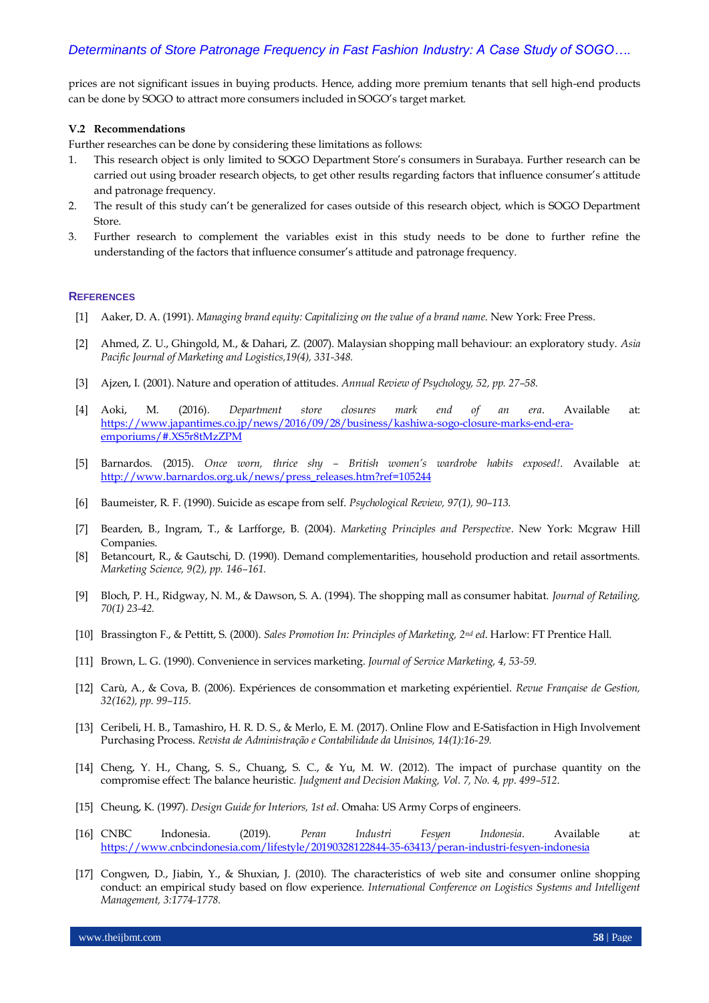prices are not significant issues in buying products. Hence, adding more premium tenants that sell high-end products can be done by SOGO to attract more consumers included in SOGO's target market.

#### **V.2 Recommendations**

Further researches can be done by considering these limitations as follows:

- 1. This research object is only limited to SOGO Department Store's consumers in Surabaya. Further research can be carried out using broader research objects, to get other results regarding factors that influence consumer's attitude and patronage frequency.
- 2. The result of this study can't be generalized for cases outside of this research object, which is SOGO Department Store.
- 3. Further research to complement the variables exist in this study needs to be done to further refine the understanding of the factors that influence consumer's attitude and patronage frequency.

### **REFERENCES**

- [1] Aaker, D. A. (1991). *Managing brand equity: Capitalizing on the value of a brand name*. New York: Free Press.
- [2] Ahmed, Z. U., Ghingold, M., & Dahari, Z. (2007). Malaysian shopping mall behaviour: an exploratory study. *Asia Pacific Journal of Marketing and Logistics,19(4), 331-348.*
- [3] Ajzen, I. (2001). Nature and operation of attitudes. *Annual Review of Psychology, 52, pp. 27–58.*
- [4] Aoki, M. (2016). *Department store closures mark end of an era*. Available at: [https://www.japantimes.co.jp/news/2016/09/28/business/kashiwa-sogo-closure-marks-end-era](https://www.japantimes.co.jp/news/2016/09/28/business/kashiwa-sogo-closure-marks-end-era-emporiums/#.XS5r8tMzZPM)[emporiums/#.XS5r8tMzZPM](https://www.japantimes.co.jp/news/2016/09/28/business/kashiwa-sogo-closure-marks-end-era-emporiums/#.XS5r8tMzZPM)
- [5] Barnardos. (2015). *Once worn, thrice shy – British women's wardrobe habits exposed!*. Available at: [http://www.barnardos.org.uk/news/press\\_releases.htm?ref=105244](http://www.barnardos.org.uk/news/press_releases.htm?ref=105244)
- [6] Baumeister, R. F. (1990). Suicide as escape from self. *Psychological Review, 97(1), 90–113.*
- [7] Bearden, B., Ingram, T., & Larfforge, B. (2004). *Marketing Principles and Perspective*. New York: Mcgraw Hill Companies.
- [8] Betancourt, R., & Gautschi, D. (1990). Demand complementarities, household production and retail assortments. *Marketing Science, 9(2), pp. 146–161.*
- [9] Bloch, P. H., Ridgway, N. M., & Dawson, S. A. (1994). The shopping mall as consumer habitat. *Journal of Retailing, 70(1) 23-42.*
- [10] Brassington F., & Pettitt, S. (2000). *Sales Promotion In: Principles of Marketing, 2nd ed*. Harlow: FT Prentice Hall.
- [11] Brown, L. G. (1990). Convenience in services marketing. *Journal of Service Marketing, 4, 53-59.*
- [12] Carù, A., & Cova, B. (2006). Expériences de consommation et marketing expérientiel. *Revue Française de Gestion, 32(162), pp. 99–115.*
- [13] Ceribeli, H. B., Tamashiro, H. R. D. S., & Merlo, E. M. (2017). Online Flow and E-Satisfaction in High Involvement Purchasing Process. *Revista de Administração e Contabilidade da Unisinos, 14(1):16-29.*
- [14] Cheng, Y. H., Chang, S. S., Chuang, S. C., & Yu, M. W. (2012). The impact of purchase quantity on the compromise effect: The balance heuristic*. Judgment and Decision Making, Vol. 7, No. 4, pp. 499–512*.
- [15] Cheung, K. (1997). *Design Guide for Interiors, 1st ed*. Omaha: US Army Corps of engineers.
- [16] CNBC Indonesia. (2019). *Peran Industri Fesyen Indonesia*. Available at: <https://www.cnbcindonesia.com/lifestyle/20190328122844-35-63413/peran-industri-fesyen-indonesia>
- [17] Congwen, D., Jiabin, Y., & Shuxian, J. (2010). The characteristics of web site and consumer online shopping conduct: an empirical study based on flow experience. *International Conference on Logistics Systems and Intelligent Management, 3:1774-1778.*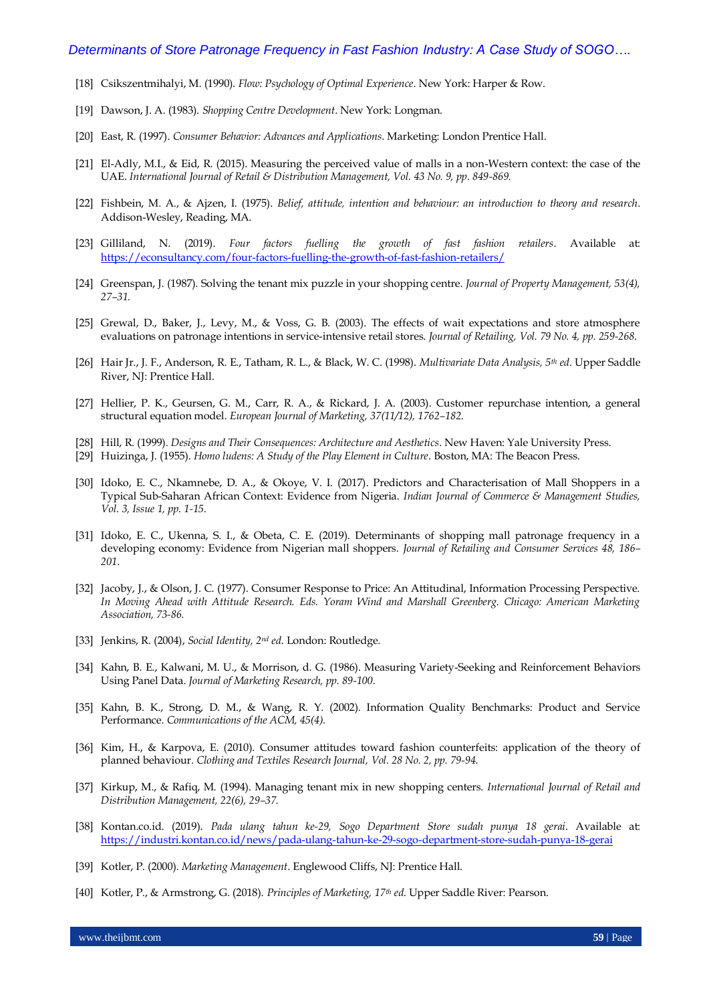- [18] Csikszentmihalyi, M. (1990). *Flow: Psychology of Optimal Experience*. New York: Harper & Row.
- [19] Dawson, J. A. (1983). *Shopping Centre Development*. New York: Longman.
- [20] East, R. (1997). *Consumer Behavior: Advances and Applications*. Marketing: London Prentice Hall.
- [21] El-Adly, M.I., & Eid, R. (2015). Measuring the perceived value of malls in a non-Western context: the case of the UAE. *International Journal of Retail & Distribution Management, Vol. 43 No. 9, pp. 849-869.*
- [22] Fishbein, M. A., & Ajzen, I. (1975). *Belief, attitude, intention and behaviour: an introduction to theory and research*. Addison-Wesley, Reading, MA.
- [23] Gilliland, N. (2019). *Four factors fuelling the growth of fast fashion retailers*. Available at: <https://econsultancy.com/four-factors-fuelling-the-growth-of-fast-fashion-retailers/>
- [24] Greenspan, J. (1987). Solving the tenant mix puzzle in your shopping centre. *Journal of Property Management, 53(4), 27–31.*
- [25] Grewal, D., Baker, J., Levy, M., & Voss, G. B. (2003). The effects of wait expectations and store atmosphere evaluations on patronage intentions in service-intensive retail stores. *Journal of Retailing, Vol. 79 No. 4, pp. 259-268*.
- [26] Hair Jr., J. F., Anderson, R. E., Tatham, R. L., & Black, W. C. (1998). *Multivariate Data Analysis, 5th ed*. Upper Saddle River, NJ: Prentice Hall.
- [27] Hellier, P. K., Geursen, G. M., Carr, R. A., & Rickard, J. A. (2003). Customer repurchase intention, a general structural equation model. *European Journal of Marketing, 37(11/12), 1762–182*.
- [28] Hill, R. (1999). *Designs and Their Consequences: Architecture and Aesthetics*. New Haven: Yale University Press.
- [29] Huizinga, J. (1955). *Homo ludens: A Study of the Play Element in Culture*. Boston, MA: The Beacon Press.
- [30] Idoko, E. C., Nkamnebe, D. A., & Okoye, V. I. (2017). Predictors and Characterisation of Mall Shoppers in a Typical Sub-Saharan African Context: Evidence from Nigeria. *Indian Journal of Commerce & Management Studies, Vol. 3, Issue 1, pp. 1-15.*
- [31] Idoko, E. C., Ukenna, S. I., & Obeta, C. E. (2019). Determinants of shopping mall patronage frequency in a developing economy: Evidence from Nigerian mall shoppers. *Journal of Retailing and Consumer Services 48, 186– 201*.
- [32] Jacoby, J., & Olson, J. C. (1977). Consumer Response to Price: An Attitudinal, Information Processing Perspective. *In Moving Ahead with Attitude Research. Eds. Yoram Wind and Marshall Greenberg. Chicago: American Marketing Association, 73-86.*
- [33] Jenkins, R. (2004), *Social Identity, 2nd ed*. London: Routledge.
- [34] Kahn, B. E., Kalwani, M. U., & Morrison, d. G. (1986). Measuring Variety-Seeking and Reinforcement Behaviors Using Panel Data. *Journal of Marketing Research, pp. 89-100*.
- [35] Kahn, B. K., Strong, D. M., & Wang, R. Y. (2002). Information Quality Benchmarks: Product and Service Performance. *Communications of the ACM, 45(4).*
- [36] Kim, H., & Karpova, E. (2010). Consumer attitudes toward fashion counterfeits: application of the theory of planned behaviour. *Clothing and Textiles Research Journal, Vol. 28 No. 2, pp. 79-94.*
- [37] Kirkup, M., & Rafiq, M. (1994). Managing tenant mix in new shopping centers. *International Journal of Retail and Distribution Management, 22(6), 29–37.*
- [38] Kontan.co.id. (2019). *Pada ulang tahun ke-29, Sogo Department Store sudah punya 18 gerai*. Available at: <https://industri.kontan.co.id/news/pada-ulang-tahun-ke-29-sogo-department-store-sudah-punya-18-gerai>
- [39] Kotler, P. (2000). *Marketing Management*. Englewood Cliffs, NJ: Prentice Hall.
- [40] Kotler, P., & Armstrong, G. (2018). *Principles of Marketing, 17th ed*. Upper Saddle River: Pearson.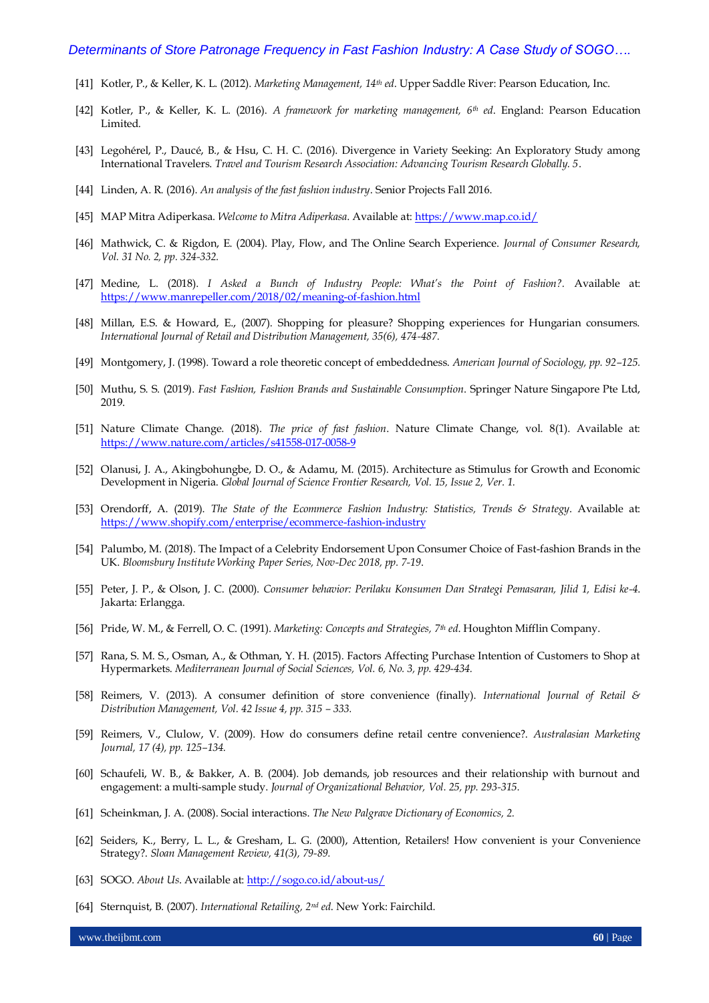- [41] Kotler, P., & Keller, K. L. (2012). *Marketing Management, 14th ed*. Upper Saddle River: Pearson Education, Inc.
- [42] Kotler, P., & Keller, K. L. (2016). *A framework for marketing management, 6th ed*. England: Pearson Education Limited.
- [43] Legohérel, P., Daucé, B., & Hsu, C. H. C. (2016). Divergence in Variety Seeking: An Exploratory Study among International Travelers. *Travel and Tourism Research Association: Advancing Tourism Research Globally. 5*.
- [44] Linden, A. R. (2016). *An analysis of the fast fashion industry*. Senior Projects Fall 2016.
- [45] MAP Mitra Adiperkasa. *Welcome to Mitra Adiperkasa*. Available at[: https://www.map.co.id/](https://www.map.co.id/)
- [46] Mathwick, C. & Rigdon, E. (2004). Play, Flow, and The Online Search Experience. *Journal of Consumer Research, Vol. 31 No. 2, pp. 324-332.*
- [47] Medine, L. (2018). *I Asked a Bunch of Industry People: What's the Point of Fashion?.* Available at: <https://www.manrepeller.com/2018/02/meaning-of-fashion.html>
- [48] Millan, E.S. & Howard, E., (2007). Shopping for pleasure? Shopping experiences for Hungarian consumers. *International Journal of Retail and Distribution Management, 35(6), 474-487.*
- [49] Montgomery, J. (1998). Toward a role theoretic concept of embeddedness. *American Journal of Sociology, pp. 92–125.*
- [50] Muthu, S. S. (2019). *Fast Fashion, Fashion Brands and Sustainable Consumption*. Springer Nature Singapore Pte Ltd, 2019.
- [51] Nature Climate Change. (2018). *The price of fast fashion*. Nature Climate Change, vol. 8(1). Available at: <https://www.nature.com/articles/s41558-017-0058-9>
- [52] Olanusi, J. A., Akingbohungbe, D. O., & Adamu, M. (2015). Architecture as Stimulus for Growth and Economic Development in Nigeria. *Global Journal of Science Frontier Research, Vol. 15, Issue 2, Ver. 1.*
- [53] Orendorff, A. (2019). *The State of the Ecommerce Fashion Industry: Statistics, Trends & Strategy*. Available at: <https://www.shopify.com/enterprise/ecommerce-fashion-industry>
- [54] Palumbo, M. (2018). The Impact of a Celebrity Endorsement Upon Consumer Choice of Fast-fashion Brands in the UK. *Bloomsbury Institute Working Paper Series, Nov-Dec 2018, pp. 7-19*.
- [55] Peter, J. P., & Olson, J. C. (2000). *Consumer behavior: Perilaku Konsumen Dan Strategi Pemasaran, Jilid 1, Edisi ke-4*. Jakarta: Erlangga.
- [56] Pride, W. M., & Ferrell, O. C. (1991). *Marketing: Concepts and Strategies, 7th ed*. Houghton Mifflin Company.
- [57] Rana, S. M. S., Osman, A., & Othman, Y. H. (2015). Factors Affecting Purchase Intention of Customers to Shop at Hypermarkets. *Mediterranean Journal of Social Sciences, Vol. 6, No. 3, pp. 429-434.*
- [58] Reimers, V. (2013). A consumer definition of store convenience (finally). *International Journal of Retail & Distribution Management, Vol. 42 Issue 4, pp. 315 – 333.*
- [59] Reimers, V., Clulow, V. (2009). How do consumers define retail centre convenience?. *Australasian Marketing Journal, 17 (4), pp. 125–134.*
- [60] Schaufeli, W. B., & Bakker, A. B. (2004). Job demands, job resources and their relationship with burnout and engagement: a multi-sample study. *Journal of Organizational Behavior, Vol. 25, pp. 293-315.*
- [61] Scheinkman, J. A. (2008). Social interactions. *The New Palgrave Dictionary of Economics, 2.*
- [62] Seiders, K., Berry, L. L., & Gresham, L. G. (2000), Attention, Retailers! How convenient is your Convenience Strategy?. *Sloan Management Review, 41(3), 79-89.*
- [63] SOGO. *About Us*. Available at[: http://sogo.co.id/about-us/](http://sogo.co.id/about-us/)
- [64] Sternquist, B. (2007). *International Retailing, 2nd ed*. New York: Fairchild.

www.theijbmt.com **60** | Page